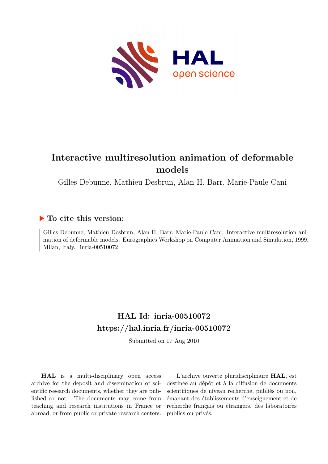

# **Interactive multiresolution animation of deformable models**

Gilles Debunne, Mathieu Desbrun, Alan H. Barr, Marie-Paule Cani

## **To cite this version:**

Gilles Debunne, Mathieu Desbrun, Alan H. Barr, Marie-Paule Cani. Interactive multiresolution animation of deformable models. Eurographics Workshop on Computer Animation and Simulation, 1999, Milan, Italy. inria-00510072

## **HAL Id: inria-00510072 <https://hal.inria.fr/inria-00510072>**

Submitted on 17 Aug 2010

**HAL** is a multi-disciplinary open access archive for the deposit and dissemination of scientific research documents, whether they are published or not. The documents may come from teaching and research institutions in France or abroad, or from public or private research centers.

L'archive ouverte pluridisciplinaire **HAL**, est destinée au dépôt et à la diffusion de documents scientifiques de niveau recherche, publiés ou non, émanant des établissements d'enseignement et de recherche français ou étrangers, des laboratoires publics ou privés.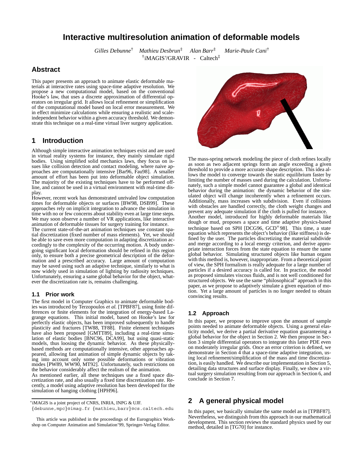## **Interactive multiresolution animation of deformable models**

*Gilles Debunne*† *Mathieu Desbrun*‡ *Alan Barr*‡ *Marie-Paule Cani*† †iMAGIS /GRAVIR - Caltech‡

## **Abstract**

This paper presents an approach to animate elastic deformable materials at interactive rates using space-time adaptive resolution. We propose a new computational model, based on the conventional Hooke's law, that uses a discrete approximation of differential operators on irregular grid. It allows local refinement or simplification of the computational model based on local error measurement. We in effect minimize calculations while ensuring a realistic and scaleindependent behavior within a given accuracy threshold. We demonstrate this technique on a real-time virtual liver surgery application.

## **1 Introduction**

Although simple interactive animation techniques exist and are used in virtual reality systems for instance, they mainly simulate rigid bodies. Using simplified solid mechanics laws, they focus on issues like collision detection and contact modeling, where naive approaches are computationally intensive [Bar96, Fau98]. A smaller amount of effort has been put into deformable object simulation. The majority of the existing techniques have to be performed offline, and cannot be used in a virtual environment with real-time display.

However, recent work has demonstrated unrivaled low computation times for deformable objects or surfaces [BW98, DSB99]. These approaches rely on implicit integration to advance the simulation in time with no or few concerns about stability even at large time steps. We may soon observe a number of VR applications, like interactive animation of deformable tissues for surgery training for instance.

The current state-of-the-art animation techniques use constant spatial discretization (fixed number of mass elements). Yet, we should be able to save even more computation in adapting discretization accordingly to the complexity of the occurring motion. A body undergoing significant local deformation should be refined in this region only, to ensure both a precise geometrical description of the deformation and a prescribed accuracy. Large amount of computation may be saved using such an adaptive technique, similarly to what is now widely used in simulation of lighting by radiosity techniques. Unfortunately, ensuring a same global behavior for the object, whatever the discretization rate is, remains challenging.

#### **1.1 Prior work**

The first model in Computer Graphics to animate deformable bodies was introduced by Terzopoulos et al. [TPBF87], using finite differences or finite elements for the integration of energy-based Lagrange equations. This initial model, based on Hooke's law for perfectly elastic objects, has been improved subsequently to handle plasticity and fractures [TW88, TF88]. Finite element techniques have also been proposed [GMTT89], including a real-time simulation of elastic bodies [BNC96, DCA99], but using quasi-static models, thus loosing the dynamic behavior. As these physicallybased methods are computationally intensive, other approaches appeared, allowing fast animation of simple dynamic objects by taking into account only some possible deformations or vibration modes [PW89, WW90, MT92]. Unfortunately, such restrictions on the behavior considerably affect the realism of the animation.

As mentioned earlier, all these techniques use a fixed space discretization rate, and also usually a fixed time discretization rate. Recently, a model using adaptive resolution has been developed for the simulation of hanging clothing [HPH96].



The mass-spring network modeling the piece of cloth refines locally as soon as two adjacent springs form an angle exceeding a given threshold to provide a more accurate shape description. This idea allows the model to converge towards the static equilibrium faster by limiting the number of masses used during the calculation. Unfortunately, such a simple model cannot guarantee a global and identical behavior during the animation: the dynamic behavior of the simulated object will change incoherently when a refinement occurs. Additionally, mass increases with subdivision. Even if collisions with obstacles are handled correctly, the cloth weight changes and prevent any adequate simulation if the cloth is pulled for instance. Another model, introduced for highly deformable materials like dough or mud, proposes a space and time adaptive physics-based technique based on SPH [DCG96, GCD<sup>+</sup> 98]. This time, a state equation which represents the object's behavior (like stiffness) is defined by the user. The particles discretizing the material subdivide and merge according to a local energy criterion, and derive appropriate interaction forces from the state equation to ensure the same global behavior. Simulating structured objects like human organs with this method is, however, inappropriate. From a theoretical point of view, the SPH formalism is really adequate for a large number of particles if a desired accuracy is called for. In practice, the model as proposed simulates viscous fluids, and is not well conditioned for structured objects. We use the same "philosophical" approach in this paper, as we propose to adaptively simulate a given equation of motion. Yet a large amount of particles is no longer needed to obtain convincing results.

#### **1.2 Approach**

In this paper, we propose to improve upon the amount of sample points needed to animate deformable objects. Using a general elasticity model, we derive a partial derivative equation guaranteeing a global behavior for the object in Section 2. We then propose in Section 3 simple differential operators to integrate this latter PDE even on moderately irregular grids. Once an error criterion is defined, we demonstrate in Section 4 that a space-time adaptive integration, using local refinement/simplification of the mass and time discretization, is easily handled. We describe our implementation in Section 5, detailing data structures and surface display. Finally, we show a virtual surgery simulation resulting from our approach in Section 6, and conclude in Section 7.

## **2 A general physical model**

In this paper, we basically simulate the same model as in [TPBF87]. Nevertheless, we distinguish from this approach in our mathematical development. This section reviews the standard physics used by our method, detailed in [TG70] for instance.

iMAGIS is a joint project of CNRS, INRIA, INPG & UJF.

<sup>{</sup>debunne,mpc}@imag.fr {mathieu,barr}@cs.caltech.edu

This article was published in the proceedings of the Eurographics Workshop on Computer Animation and Simulation'99, Springer-Verlag Editor.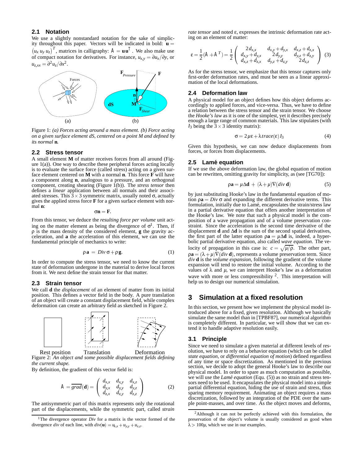#### **2.1 Notation**

We use a slightly nonstandard notation for the sake of simplicity throughout this paper. Vectors will be indicated in bold:  $\mathbf{\bar{u}} =$  $(u_x u_y u_z)^T$ , matrices in calligraphy:  $A = \mathbf{u} \mathbf{u}^T$ . We also make use of compact notation for derivatives. For instance,  $u_{x,y} = \partial u_x / \partial y$ , or  $u_{z,xx} = \partial^2 u_z / \partial x^2$ .



Figure 1: *(a) Forces acting around a mass element. (b) Force acting on a given surface element dS, centered on a point M and defined by its normal* **n***.*

#### **2.2 Stress tensor**

A small element **M** of matter receives forces from all around (Figure  $1(a)$ ). One way to describe these peripheral forces acting locally is to evaluate the surface force (called stress) acting on a given surface element centered on **M** with a normal **n**. This force **F** will have a component along **n**, analogous to a pressure, and an orthogonal component, creating shearing (Figure 1(b)). The *stress tensor* then defines a *linear* application between all normals and their associated stresses. This  $3 \times 3$  symmetric matrix, usually noted  $\sigma$ , actually gives the applied stress force **F** for a given surface element with normal **n**:

σ**n** <sup>=</sup> **F**:

From this tensor, we deduce the *resulting force per volume* unit acting on the matter element as being the divergence of  $\sigma^1$ . Then, if ρ is the mass density of the considered element, **g** the gravity acceleration, and **a** the acceleration of this element, we can use the fundamental principle of mechanics to write:

$$
\rho \mathbf{a} = Div \sigma + \rho \mathbf{g}.
$$
 (1)

In order to compute the stress tensor, we need to know the current state of deformation undergone in the material to derive local forces from it. We next define the strain tensor for that matter.

#### **2.3 Strain tensor**

We call **d** the *displacement* of an element of matter from its initial position. This defines a vector field in the body. A pure translation of an object will create a constant displacement field, while complex deformation can create an arbitrary field as sketched in Figure 2.



Rest position Translation Deformation Figure 2: *An object and some possible displacement fields defining the current shape.*

By definition, the gradient of this vector field is:

$$
A = \overline{grad}(\mathbf{d}) = \begin{pmatrix} d_{x,x} & d_{x,y} & d_{x,z} \\ d_{y,x} & d_{y,y} & d_{y,z} \\ d_{z,x} & d_{z,y} & d_{z,z} \end{pmatrix}
$$
 (2)

The antisymmetric part of this matrix represents only the rotational part of the displacements, while the symmetric part, called *strain*

*rate tensor* and noted ε, expresses the intrinsic deformation rate acting on an element of matter:

$$
\varepsilon = \frac{1}{2}(A + A^T) = \frac{1}{2} \begin{pmatrix} 2d_{x,x} & d_{x,y} + d_{y,x} & d_{x,z} + d_{z,x} \\ d_{x,y} + d_{y,x} & 2d_{y,y} & d_{y,z} + d_{z,y} \\ d_{x,z} + d_{z,x} & d_{y,z} + d_{z,y} & 2d_{z,z} \end{pmatrix}
$$
(3)

As for the stress tensor, we emphasize that this tensor captures only first-order deformation rates, and must be seen as a linear approximation of the local deformations.

#### **2.4 Deformation law**

A physical model for an object defines how this object deforms accordingly to applied forces, and vice-versa. Thus, we have to define a relation between the stress tensor and the strain tensor. We choose the *Hooke's law* as it is one of the simplest, yet it describes precisely enough a large range of common materials. This law stipulates (with  $I_3$  being the  $3 \times 3$  identity matrix):

$$
\sigma = 2\mu\epsilon + \lambda \text{trace}(\epsilon) I_3 \tag{4}
$$

Given this hypothesis, we can now deduce displacements from forces, or forces from displacements.

#### **2.5 Lame equation ´**

If we use the above deformation law, the global equation of motion can be rewritten, omitting gravity for simplicity, as (see [TG70]):

$$
\rho \mathbf{a} = \mu \Delta \mathbf{d} + (\lambda + \mu) \nabla (div \mathbf{d}) \tag{5}
$$

by just substituting Hooke's law in the fundamental equation of motion  $\rho \mathbf{a} = Div \sigma$  and expanding the different derivative terms. This formulation, initially due to Lamé, encapsulates the strain/stress law in a partial derivative equation that offers another interpretation of the Hooke's law. We note that such a physical model is the composition of a wave propagation and of a volume preservation constraint. Since the acceleration is the second time derivative of the displacement **d** and ∆**d** is the sum of the second spatial derivatives, the first part of the latter equation  $\rho a = \mu \Delta d$  is, indeed, a hyperbolic partial derivative equation, also called *wave equation*. The velocity of propagation in this case is:  $c = \sqrt{\mu/\rho}$ . The other part,  $\rho \mathbf{a} = (\lambda + \mu) \nabla (div \mathbf{d})$ , represents a volume preservation term. Since *div* **d** is the *volume expansion*, following the gradient of the volume expansion will tend to restore the initial volume. According to the values of  $\lambda$  and  $\mu$ , we can interpret Hooke's law as a deformation wave with more or less compressibility <sup>2</sup>. This interpretation will help us to design our numerical simulation.

### **3 Simulation at a fixed resolution**

In this section, we present how we implement the physical model introduced above for a fixed, given resolution. Although we basically simulate the same model than in [TPBF87], our numerical algorithm is completely different. In particular, we will show that we can extend it to handle adaptive resolution easily.

#### **3.1 Principle**

Since we need to simulate a given material at different levels of resolution, we have to rely on a behavior equation (which can be called *state equation*, or *differential equation of motion*) defined regardless of any time or space discretization. As mentioned in the previous section, we decide to adopt the general Hooke's law to describe our physical model. In order to spare as much computation as possible, we will use the *Lamé equation* (Equ. (5)) as no strain and stress tensors need to be used. It encapsulates the physical model into a simple partial differential equation, hiding the use of strain and stress, thus sparing memory requirement. Animating an object requires a mass discretization, followed by an integration of the PDE over the sample point-masses, and over time. As the object moves and deforms,

<sup>&</sup>lt;sup>1</sup>The divergence operator *Div* for a matrix is the vector formed of the divergence *div* of each line, with  $div(\mathbf{u}) = u_{x,x} + u_{y,y} + u_{z,z}$ .

 $2$ Although it can not be perfectly achieved with this formulation, the preservation of the object's volume is usually considered as good when  $\lambda > 100\mu$ , which we use in our examples.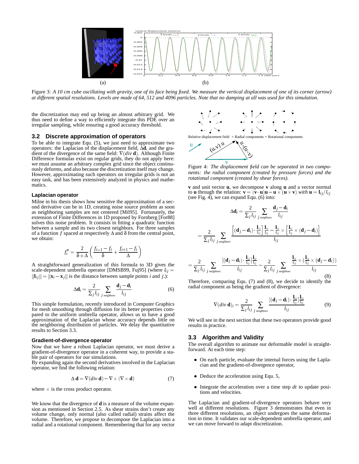

Figure 3: *A 10 cm cube oscillating with gravity, one of its face being fixed. We measure the vertical displacement of one of its corner (arrow) at different spatial resolutions. Levels are made of 64, 512 and 4096 particles. Note that no damping at all was used for this simulation.*

the discretization may end up being an almost arbitrary grid. We thus need to define a way to efficiently integrate this PDE over an irregular sampling, while ensuring a good accuracy threshold.

#### **3.2 Discrete approximation of operators**

To be able to integrate Equ. (5), we just need to approximate two operators: the Laplacian of the displacement field, ∆**d**, and the gradient of the divergence of the same field: ∇(*div* **d**). Although Finite Difference formulas exist on regular grids, they do not apply here: we must assume an arbitrary complex grid since the object continuously deforms, and also because the discretization itself may change. However, approximating such operators on irregular grids is not an easy task, and has been extensively analyzed in physics and mathematics.

#### **Laplacian operator**

Milne in his thesis shows how sensitive the approximation of a second derivative can be in 1D, creating noise source problem as soon as neighboring samples are not centered [Mil95]. Fortunately, the extension of Finite Differences in 1D proposed by Fornberg [For88] solves this noise problem. It consists in fitting a quadratic function between a sample and its two closest neighbors. For three samples of a function *f* spaced at respectively ∆ and δ from the central point, we obtain:

$$
f_i'' = \frac{2}{\delta + \Delta} \left( \frac{f_{i-1} - f_i}{\delta} + \frac{f_{i+1} - f_i}{\Delta} \right)
$$

A straightforward generalization of this formula to 3D gives the scale-dependent umbrella operator [DMSB99, Fuj95] (where  $l_{ij}$  =  $\|\mathbf{l}_{i j}\| = \|\mathbf{x}_{i} - \mathbf{x}_{j}\|$  is the distance between sample points *i* and *j*.):

$$
\Delta \mathbf{d}_i = \frac{2}{\sum_j l_{ij}} \sum_{j \text{ neighbors}} \frac{\mathbf{d}_j - \mathbf{d}_i}{l_{ij}} \tag{6}
$$

This simple formulation, recently introduced in Computer Graphics for mesh smoothing through diffusion for its better properties compared to the uniform umbrella operator, allows us to have a good approximation of the Laplacian whose accuracy depends little on the neighboring distribution of particles. We delay the quantitative results to Section 3.3.

#### **Gradient-of-divergence operator**

Now that we have a robust Laplacian operator, we must derive a gradient-of-divergence operator in a coherent way, to provide a stable pair of operators for our simulations.

By expanding again the second derivatives involved in the Laplacian operator, we find the following relation:

$$
\Delta \mathbf{d} = \nabla (div \mathbf{d}) - \nabla \times (\nabla \times \mathbf{d})
$$
 (7)

where  $\times$  is the cross product operator.

We know that the divergence of **d** is a measure of the volume expansion as mentioned in Section 2.5. As shear strains don't create any volume change, only normal (also called radial) strains affect the volume. Therefore, we propose to decompose the Laplacian into a radial and a rotational component. Remembering that for any vector





v Figure 4: *The displacement field can be separated in two components: the radial component (created by pressure forces) and the rotational component (created by shear forces).*

**v** and unit vector **u**, we decompose **v** along **u** and a vector normal to **u** through the relation:  $\mathbf{v} = (\mathbf{v} \cdot \mathbf{u})\mathbf{u} - \mathbf{u} \times (\mathbf{u} \times \mathbf{v})$  *with*  $\mathbf{u} = \mathbf{l}_{ij}/l_{ij}$ (see Fig. 4), we can expand Equ. (6) into:

$$
\Delta \mathbf{d}_{i} = \frac{2}{\sum_{j} l_{ij}} \sum_{j \text{ neighbors}} \frac{\mathbf{d}_{j} - \mathbf{d}_{i}}{l_{ij}}
$$

$$
= \frac{2}{\sum_{j} l_{ij}} \sum_{j \text{ neighbors}} \frac{\left[ (\mathbf{d}_{j} - \mathbf{d}_{i}) \cdot \frac{\mathbf{l}_{ij}}{l_{ij}} \right] \frac{\mathbf{l}_{ij}}{l_{ij}} - \frac{\mathbf{l}_{ij}}{l_{ij}} \times \left[ \frac{\mathbf{l}_{ij}}{l_{ij}} \times (\mathbf{d}_{j} - \mathbf{d}_{i}) \right]}{l_{ij}}
$$

$$
=\frac{2}{\sum_{j}l_{ij}}\sum_{j \text{ neighbors}}\frac{[(\mathbf{d}_{j}-\mathbf{d}_{i})\cdot\frac{\mathbf{l}_{ij}}{l_{ij}}] \frac{\mathbf{l}_{ij}}{l_{ij}}}{l_{ij}}-\frac{2}{\sum_{j}l_{ij}}\sum_{j \text{ neighbors}}\frac{\frac{\mathbf{l}_{ij}}{l_{ij}}\times(\frac{\mathbf{l}_{ij}}{l_{ij}}\times(\mathbf{d}_{j}-\mathbf{d}_{i}))}{l_{ij}}
$$
(8)

Therefore, comparing Equ. (7) and (8), we decide to identify the radial component as being the gradient of divergence:

$$
\nabla (div \mathbf{d})_i = \frac{2}{\sum_j l_{ij}} \sum_{j \text{ neighbors}} \frac{[(\mathbf{d}_j - \mathbf{d}_i) \cdot \frac{\mathbf{l}_{ij}}{l_{ij}}] \frac{\mathbf{l}_{ij}}{l_{ij}}}{l_{ij}}
$$
(9)

We will see in the next section that these two operators provide good results in practice.

#### **3.3 Algorithm and Validity**

The overall algorithm to animate our deformable model is straightforward. At each time step:

- On each particle, evaluate the internal forces using the Laplacian and the gradient-of-divergence operator,
- Deduce the acceleration using Equ. 5,
- Integrate the acceleration over a time step *dt* to update positions and velocities.

The Laplacian and gradient-of-divergence operators behave very well at different resolutions. Figure 3 demonstrates that even in three different resolutions, an object undergoes the same deformation in time. It validates our scale-dependent umbrella operator, and we can move forward to adapt discretization.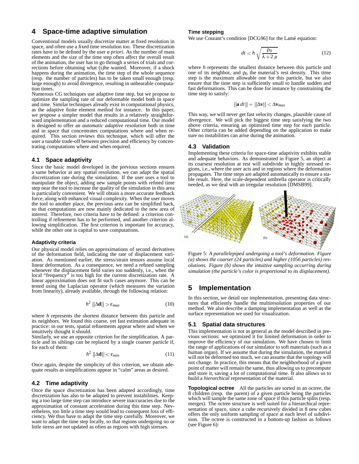## **4 Space-time adaptive simulation**

Conventional models usually discretize matter at fixed resolution in space, and often use a fixed time resolution too. These discretization rates have to be defined by the user *a priori*. As the number of mass elements and the size of the time step often affect the overall result of the animation, the user has to go through a series of trials and corrections before obtaining what (s)he wanted. Moreover, if a shock happens during the animation, the time step of the whole sequence (resp. the number of particles) has to be taken small enough (resp. large enough) to avoid divergence, resulting in unbearable computation times.

Numerous CG techniques use adaptive time step, but we propose to optimize the sampling rate of our deformable model both in space and time. Similar techniques already exist in computational physics, as the adaptive finite element method for instance. In this paper, we propose a simpler model that results in a relatively straightforward implementation and a reduced computational time. Our model is designed to offer an *automatic adaptive resolution* both in time and in space that concentrates computations where and when required. This section reviews this technique, which will offer the user a tunable trade-off between precision and efficiency by concentrating computations where and when required.

#### **4.1 Space adaptivity**

Since the basic model developed in the previous sections ensures a same behavior at any spatial resolution, we can adapt the spatial discretization rate during the simulation. If the user uses a tool to manipulate the object, adding new sample points with refined time step near the tool to increase the quality of the simulation in this area is particularly convenient. We will obtain a more accurate feedback force, along with enhanced visual complexity. When the user moves the tool to another place, the previous area can be simplified back, so that computations are now mainly dedicated to the new area of interest. Therefore, two criteria have to be defined: a criterion controlling if refinement has to be performed, and another criterion allowing simplification. The first criterion is important for accuracy, while the other one is capital to save computations.

#### **Adaptivity criteria**

Our physical model relies on approximations of second derivatives of the deformation field, indicating the rate of displacement variation. As mentioned earlier, the stress/strain tensors assume local linear deformation. As a consequence, we need a refined sampling whenever the displacement field varies too suddenly, i.e., when the local "frequency" is too high for the current discretization rate. A linear approximation does not fit such cases anymore. This can be tested using the Laplacian operator (which measures the variation from linearity), already available, through the following relation:

$$
h^2 ||\Delta \mathbf{d}|| > \varepsilon_{max} \tag{10}
$$

where *h* represents the shortest distance between this particle and its neighbors. We found this coarse, yet fast estimation adequate in practice: in our tests, spatial refinements appear where and when we intuitively thought it should.

Similarly, we use an opposite criterion for the simplification. A particle and its siblings can be replaced by a single coarser particle if, for each of them:

$$
h^2 ||\Delta \mathbf{d}|| < \varepsilon_{min} \tag{11}
$$

Once again, despite the simplicity of this criterion, we obtain adequate results as simplifications appear in "calm" areas as desired.

#### **4.2 Time adaptivity**

Once the space discretization has been adapted accordingly, time discretization has also to be adapted to prevent instabilities. Keeping a too large time step can introduce severe inaccuracies due to the approximation of constant acceleration during this time step. Nevciency. We thus have to adapt the time step carefully. Moreover, we want to adapt the time step locally, so that regions undergoing no or little stress are not updated as often as regions with high stresses.

#### **Time stepping**

We use Courant's condition [DCG96] for the Lamé equation:

$$
dt < h \sqrt{\frac{\rho_0}{\lambda + 2\,\mu}}\tag{12}
$$

where *h* represents the smallest distance between this particle and one of its neighbor, and  $\rho_0$  the material's rest density. This time step is the maximum allowable one for this particle, but we also ensure that the time step is sufficiently small to handle sudden and fast deformations. This can be done for instance by constraining the time step to satisfy:

$$
||\mathbf{a} \, dt|| = ||\Delta \mathbf{v}|| < \Delta \mathbf{v}_{max}
$$

This way, we will never get fast velocity changes, plausible cause of divergence. We will pick the biggest time step satisfying the two above criteria, ensuring an optimized time step for each particle. Other criteria can be added depending on the application to make sure no instabilities can arise during the animation.

#### **4.3 Validation**

Implementing these criteria for space-time adaptivity exhibits stable and adequate behaviors. As demonstrated in Figure 5, an object at its coarsest resolution at rest will subdivide in highly stressed regions, i.e., where the user acts and in regions where the deformation propagates. The time steps are adapted automatically to ensure a stable result. Here, the scale-dependent umbrella operator is critically needed, as we deal with an irregular resolution [DMSB99].



Figure 5: *A parallelepiped undergoing a tool's deformation. Figure (a) shows the coarser (24 particles) and higher (1056 particles) resolutions. Figure (b) shows the intuitive sampling occurring during simulation (the particle's color is proportional to its displacement).*

#### **5 Implementation**

In this section, we detail our implementation, presenting data structures that efficiently handle the multiresolution properties of our method. We also describe a damping implementation as well as the surface representation we used for visualization.

#### **5.1 Spatial data structures**

This implementation is not as general as the model described in previous sections: we optimized it for limited deformation in order to improve the efficiency of our simulation. We have chosen to limit the range of applications of our simulator to soft materials (such as a human organ). If we assume that during the simulation, the material will not be deformed too much, we can assume that the topology will not change. In practice, this means that the neighborhood of a given point of matter will remain the same, thus allowing us to precompute and store it, saving a lot of computational time. It also allows us to build a *hierarchical* representation of the material.

**Topological octree** All the particles are sorted in an octree, the 8 children (resp. the parent) of a given particle being the particles which will sample the same zone of space if this particle splits (resp. merges). The octree structure is well suited for a hierarchical representation of space, since a cube recursively divided in 8 new cubes offers the only uniform sampling of space at each level of subdivision. The octree is constructed in a bottom-up fashion as follows (see Figure 6):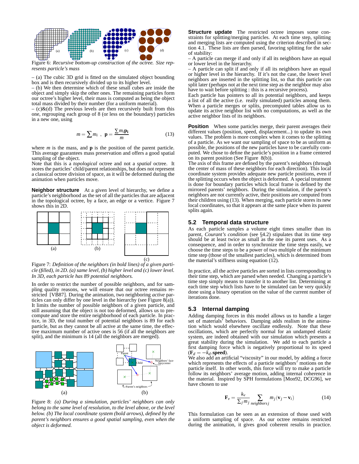

Figure 6: *Recursive bottom-up construction of the octree. Size represents particle's mass*

– (a) The cubic 3D grid is fitted on the simulated object bounding box and is then recursively divided up to its higher level. – (b) We then determine which of these small cubes are inside the object and simply skip the other ones. The remaining particles form

our octree's higher level, their mass is computed as being the object total mass divided by their number (for a uniform material).

 $-(c)\&(d)$  The previous levels are then recursively built from this one, regrouping each group of 8 (or less on the boundary) particles in a new one, using

$$
m = \sum m_i , \mathbf{p} = \frac{\sum m_i \mathbf{p_i}}{m}
$$
 (13)

where *m* is the mass, and **p** is the position of the parent particle. This average guarantees mass preservation and offers a good spatial sampling of the object.

Note that this is a *topological* octree and not a *spatial* octree. It stores the particles' child/parent relationships, but does not represent a classical octree division of space, as it will be deformed during the animation when particles move.

**Neighbor structure** At a given level of hierarchy, we define a particle's neighborhood as the set of all the particles that are adjacent in the topological octree, by a face, an edge or a vertice. Figure 7 shows this in 2D.



Figure 7: *Definition of the neighbors (in bold lines) of a given particle (filled), in 2D. (a) same level, (b) higher level and (c) lower level. In 3D, each particle has 89 potential neighbors.*

In order to restrict the number of possible neighbors, and for sampling quality reasons, we will ensure that our octree remains restricted [VB87]. During the animation, two neighboring *active* particles can only differ by one level in the hierarchy (see Figure  $\hat{8(a)}$ ). It limits the number of possible neighbors of a given particle, and still assuming that the object is not too deformed, allows us to precompute and store the entire neighborhood of each particle. In practice, in 3D, the total number of potential neighbors is 89 for each particle, but as they cannot be all active at the same time, the effective maximum number of active ones is 56 (if all the neighbors are split), and the minimum is 14 (all the neighbors are merged).



Figure 8: *(a) During a simulation, particles' neighbors can only belong to the same level of resolution, to the level above, or the level below. (b) The local coordinate system (bold arrows), defined by the parent's neighbors ensures a good spatial sampling, even when the object is deformed.*

**Structure update** The restricted octree imposes some constraints for splitting/merging particles. At each time step, splitting and merging lists are computed using the criterion described in section 4.1. These lists are then parsed, favoring splitting for the sake of stability:

– A particle can merge if and only if all its neighbors have an equal or lower level in the hierarchy.

– A particle can split if and only if all its neighbors have an equal or higher level in the hierarchy. If it's not the case, the lower level neighbors are inserted in the splitting list, so that this particle can split later (perhaps not at the next time step as the neighbor may also have to wait before splitting : this is a recursive process).

Each particle has pointers to all its potential neighbors, and keeps a list of all the active (i.e. really simulated) particles among them. When a particle merges or splits, precomputed tables allow us to update its active neighbor list with no computations, as well as the active neighbor lists of its neighbors.

**Position** When some particles merge, their parent averages their different values (position, speed, displacement...) to update its own values. The problem is more complex when it comes to the splitting of a particle. As we want our sampling of space to be as uniform as possible, the positions of the new particles have to be carefully computed. We chose to define the particle's position in a frame centered on its parent position (See Figure 8(b)).

The axis of this frame are defined by the parent's neighbors (through the center of mass of these neighbors for each direction). This local coordinate system provides adequate new particle positions, even if the splitting occurs when the object is deformed. A special treatment is done for boundary particles which local frame is defined by the mirrored parents' neighbors. During the simulation, if the parent's neighbors are not currently active, their positions are computed from their children using (13). When merging, each particle stores its new local coordinates, so that it appears at the same place when its parent splits again.

#### **5.2 Temporal data structure**

As each particle samples a volume eight times smaller than its parent, *Courant's condition* (see §4.2) stipulates that its time step should be at least twice as small as the one its parent uses. As a consequence, and in order to synchronize the time steps easily, we choose the time steps to be a power of two multiple of the minimum time step (those of the smallest particles), which is determined from the material's stiffness using equation (12).

In practice, all the active particles are sorted in lists corresponding to their time step, which are parsed when needed. Changing a particle's time step simply means to transfer it to another list. Determining at each time step which lists have to be simulated can be very quickly done using a binary operation on the value of the current number of iterations done.

#### **5.3 Internal damping**

Adding damping forces in this model allows us to handle a larger set of materials' behaviors. Damping adds realism in the animation which would elsewhere oscillate endlessly. Note that these oscillations, which are perfectly normal for an undamped elastic system, are indeed obtained with our simulation which presents a great stability during the simulation. We add to each particle a first damping force which is negatively proportional to its speed  $(\mathbf{F}_d = -k_d \text{ speed}).$ 

We also add an artificial "viscosity" in our model, by adding a force which represents the effects of a particle neighbors' motions on the particle itself. In other words, this force will try to make a particle follow its neighbors' average motion, adding internal coherence in the material. Inspired by SPH formulations [Mon92, DCG96], we have chosen to use

$$
\mathbf{F}_{v} = \frac{k_{v}}{\sum_{j} m_{j}} \sum_{neighborsj} m_{j} (\mathbf{v}_{j} - \mathbf{v}_{i})
$$
(14)

This formulation can be seen as an extension of those used with a uniform sampling of space. As our octree remains restricted during the animation, it gives good coherent results in practice.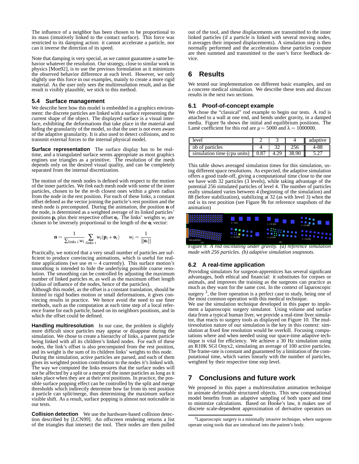The influence of a neighbor has been chosen to be proportional to its mass (intuitively linked to the contact surface). This force was restricted to its damping action: it cannot accelerate a particle, nor can it inverse the direction of its speed.

Note that damping is very special, as we cannot guarantee a same behavior whatever the resolution. Our strategy, close to similar work in physics [Mon92], is to use the previous formulation as it minimizes the observed behavior difference at each level. However, we only slightly use this force in our examples, mainly to create a more rigid material. As the user only sees the multiresolution result, and as the result is visibly plausible, we stick to this method.

#### **5.4 Surface management**

We describe here how this model is embedded in a graphics environment: the discrete particles are linked with a surface representing the current shape of the object. The displayed surface is a visual interface, exhibiting the deformations that take place in the material and hiding the granularity of the model, so that the user is not even aware of the adaptive granularity. It is also used to detect collisions, and to transmit external forces to the internal physical model.

**Surface representation** The surface display has to be realtime, and a triangulated surface seems appropriate as most graphics engines use triangles as a primitive. The resolution of the mesh depends only on the desired visual quality, and can be completely separated from the internal discretization.

The motion of the mesh nodes is defined with respect to the motion of the inner particles. We *link* each mesh node with some of the inner particles, chosen to be the *m*-th closest ones within a given radius from the node in the rest position. For each of these links, a constant offset defined as the vector joining the particle's rest position and the mesh node is precomputed. During the animation, the position **n** of the node, is determined as a weighted average of its linked particles' positions  $\mathbf{p}_i$  plus their respective offset  $\mathbf{o}_i$ . The links' weights  $w_i$  are chosen to be inversely proportional to the length of the  $\mathbf{o}_i$  vector:

$$
\mathbf{n} = \frac{1}{\sum_{links} i w_i} \sum_{links} w_i (\mathbf{p}_i + \mathbf{o}_i) \qquad w_i = \frac{1}{||\mathbf{o}_i||}
$$

Practically, we noticed that a very small number of particles are sufficient to produce convincing animations, which is useful for realtime applications (we use  $m = 4$  currently). This surface motion's smoothing is intended to hide the underlying possible coarse resolution. The smoothing can be controlled by adjusting the maximum number of linked particles *m*, as well as the maximum offset length (radius of influence of the nodes, hence of the particles).

Although this model, as the offset is a constant translation, should be limited to rigid bodies motion or small deformations, it gives convincing results in practice. We hence avoid the need to use finer methods, such as the computation at each time step of a local reference frame for each particle, based on its neighbors positions, and in which the offset could be defined.

**Handling multiresolution** In our case, the problem is slightly more difficult since particles may appear or disappear during the simulation. We chose to create a hierarchy of links, a parent particle being linked with all its children's linked nodes. For each of these nodes, the link's offset is also precomputed from the rest position, and its weight is the sum of its children links' weights to this node. During the simulation, active particles are parsed, and each of them gives its weighted position contribution to the nodes it's linked with. The way we computed the links ensures that the surface nodes will not be affected by a split or a merge of the inner particles as long as it takes place when they are at their rest positions. In practice, the possible surface popping effect can be controlled by the split and merge thresholds which indirectly determine how far from its rest position a particle can split/merge, thus determining the maximum surface visible shift. As a result, surface popping is almost not noticeable in our tests.

**Collision detection** We use the hardware-based collision detection described by [LCN99]. An offscreen rendering returns a list of the triangles that intersect the tool. Their nodes are then pulled

out of the tool, and these displacements are transmitted to the inner linked particles (if a particle is linked with several moving nodes, it averages their imposed displacements). A simulation step is then normally performed and the accelerations these particles compute are then summed and transmitted to the user's force feedback device.

## **6 Results**

We tested our implementation on different basic examples, and on a concrete medical simulation. We describe these tests and discuss results in the next two sections.

#### **6.1 Proof-of-concept example**

We chose the "classical" rod example to begin our tests. A rod is attached to a wall at one end, and bends under gravity, in a damped media. Figure 9a shows the initial and equilibrium positions. The Lamé coefficient for this rod are  $\mu = 5000$  and  $\lambda = 1000000$ .

| level                       |      |       | adaptive |
|-----------------------------|------|-------|----------|
| nb of particles             | nr   | 256   | 4-88     |
| simulation time (cpu units) | 4.29 | 38.90 |          |

This table shows averaged simulation times for this simulation, using different space resolutions. As expected, the adaptive simulation offers a good trade-off, giving a computational time close to the one we have with 32 particles (3 levels), while taking advantage of the potential 256 simulated particles of level 4. The number of particles really simulated varies between 4 (beginning of the simulation) and 88 (before stabilization), stabilizing at 32 (as with level 3) when the rod is its rest position (see Figure 9b for reference snapshots of the animation)



Figure 9: *A rod oscillating under gravity. (a) reference simulation made with 256 particles. (b) adaptive simulation snapsnots.*

#### **6.2 A real-time application**

Providing simulators for surgeon-apprentices has several significant advantages, both ethical and financial: it substitutes for corpses or animals, and improves the training as the surgeons can practice as much as they want for the same cost. In the context of laparoscopic surgery  $3$ , the liver operation is a perfect case to study, being one of the most common operation with this medical technique.

We use the simulation technique developed in this paper to implement a laparoscopic surgery simulator. Using volume and surface data from a typical human liver, we provide a real-time liver simulator, that reacts to surgery tools as displayed on Figure 10. The multiresolution nature of our simulation is the key in this context: simulation at fixed fine resolution would be overkill. Focusing computations where and when needed using our space-time adaptive technique is vital for efficiency. We achieve a 30 Hz simulation using an R10K SGI Onyx2, simulating an average of 100 active particles. The frame-rate is constant and guaranteed by a limitation of the computational time, which varies linearly with the number of particles, weighted by their respective time step level.

## **7 Conclusions and future work**

We proposed in this paper a multiresolution animation technique to animate deformable structured objects. This new computational model benefits from an adaptive sampling of both space and time to minimize calculations. Based on Hooke's law, it makes use of discrete scale-dependent approximation of derivative operators on

 $3$ Laparoscopic surgery is a minimally invasive technique, where surgeons operate using tools that are introduced into the patient's body.